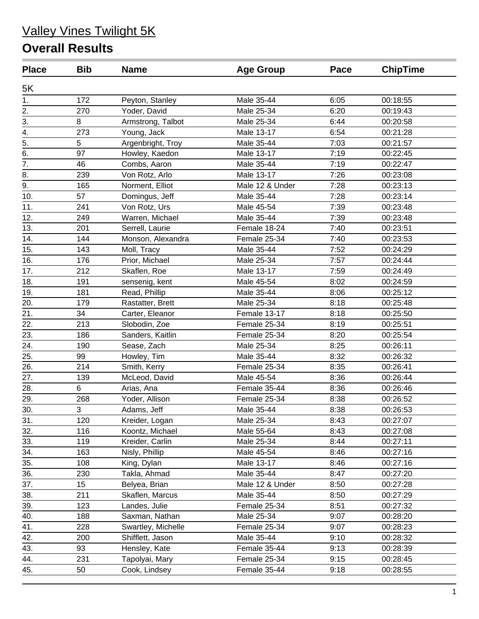| <b>Place</b>     | <b>Bib</b> | <b>Name</b>        | <b>Age Group</b> | Pace | <b>ChipTime</b> |
|------------------|------------|--------------------|------------------|------|-----------------|
| 5K               |            |                    |                  |      |                 |
| 1.               | 172        | Peyton, Stanley    | Male 35-44       | 6:05 | 00:18:55        |
| 2.               | 270        | Yoder, David       | Male 25-34       | 6:20 | 00:19:43        |
| 3.               | 8          | Armstrong, Talbot  | Male 25-34       | 6:44 | 00:20:58        |
| $\frac{1}{4}$    | 273        | Young, Jack        | Male 13-17       | 6:54 | 00:21:28        |
| $\overline{5}$ . | 5          | Argenbright, Troy  | Male 35-44       | 7:03 | 00:21:57        |
| $\overline{6}$ . | 97         | Howley, Kaedon     | Male 13-17       | 7:19 | 00:22:45        |
| $\overline{7}$ . | 46         | Combs, Aaron       | Male 35-44       | 7:19 | 00:22:47        |
| 8.               | 239        | Von Rotz, Arlo     | Male 13-17       | 7:26 | 00:23:08        |
| 9.               | 165        | Norment, Elliot    | Male 12 & Under  | 7:28 | 00:23:13        |
| 10.              | 57         | Domingus, Jeff     | Male 35-44       | 7:28 | 00:23:14        |
| 11.              | 241        | Von Rotz, Urs      | Male 45-54       | 7:39 | 00:23:48        |
| 12.              | 249        | Warren, Michael    | Male 35-44       | 7:39 | 00:23:48        |
| 13.              | 201        | Serrell, Laurie    | Female 18-24     | 7:40 | 00:23:51        |
| 14.              | 144        | Monson, Alexandra  | Female 25-34     | 7:40 | 00:23:53        |
| 15.              | 143        | Moll, Tracy        | Male 35-44       | 7:52 | 00:24:29        |
| 16.              | 176        | Prior, Michael     | Male 25-34       | 7:57 | 00:24:44        |
| 17.              | 212        | Skaflen, Roe       | Male 13-17       | 7:59 | 00:24:49        |
| 18.              | 191        | sensenig, kent     | Male 45-54       | 8:02 | 00:24:59        |
| 19.              | 181        | Read, Phillip      | Male 35-44       | 8:06 | 00:25:12        |
| 20.              | 179        | Rastatter, Brett   | Male 25-34       | 8:18 | 00:25:48        |
| 21.              | 34         | Carter, Eleanor    | Female 13-17     | 8:18 | 00:25:50        |
| 22.              | 213        | Slobodin, Zoe      | Female 25-34     | 8:19 | 00:25:51        |
| 23.              | 186        | Sanders, Kaitlin   | Female 25-34     | 8:20 | 00:25:54        |
| 24.              | 190        | Sease, Zach        | Male 25-34       | 8:25 | 00:26:11        |
| 25.              | 99         | Howley, Tim        | Male 35-44       | 8:32 | 00:26:32        |
| 26.              | 214        | Smith, Kerry       | Female 25-34     | 8:35 | 00:26:41        |
| 27.              | 139        | McLeod, David      | Male 45-54       | 8:36 | 00:26:44        |
| 28.              | 6          | Arias, Ana         | Female 35-44     | 8:36 | 00:26:46        |
| 29.              | 268        | Yoder, Allison     | Female 25-34     | 8:38 | 00:26:52        |
| 30.              | 3          | Adams, Jeff        | Male 35-44       | 8:38 | 00:26:53        |
| 31.              | 120        | Kreider, Logan     | Male 25-34       | 8:43 | 00:27:07        |
| 32.              | 116        | Koontz, Michael    | Male 55-64       | 8:43 | 00:27:08        |
| 33.              | 119        | Kreider, Carlin    | Male 25-34       | 8:44 | 00:27:11        |
| 34.              | 163        | Nisly, Phillip     | Male 45-54       | 8:46 | 00:27:16        |
| 35.              | 108        | King, Dylan        | Male 13-17       | 8:46 | 00:27:16        |
| 36.              | 230        | Takla, Ahmad       | Male 35-44       | 8:47 | 00:27:20        |
| 37.              | 15         | Belyea, Brian      | Male 12 & Under  | 8:50 | 00:27:28        |
| 38.              | 211        | Skaflen, Marcus    | Male 35-44       | 8:50 | 00:27:29        |
| 39.              | 123        | Landes, Julie      | Female 25-34     | 8:51 | 00:27:32        |
| 40.              | 188        | Saxman, Nathan     | Male 25-34       | 9:07 | 00:28:20        |
| 41.              | 228        | Swartley, Michelle | Female 25-34     | 9:07 | 00:28:23        |
| 42.              | 200        | Shifflett, Jason   | Male 35-44       | 9:10 | 00:28:32        |
| 43.              | 93         | Hensley, Kate      | Female 35-44     | 9:13 | 00:28:39        |
| 44.              | 231        | Tapolyai, Mary     | Female 25-34     | 9:15 | 00:28:45        |
| 45.              | 50         | Cook, Lindsey      | Female 35-44     | 9:18 | 00:28:55        |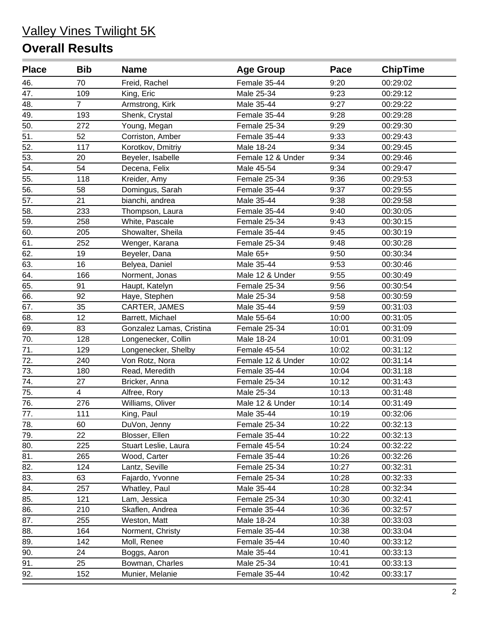| <b>Place</b>      | <b>Bib</b>     | <b>Name</b>              | <b>Age Group</b>  | Pace  | <b>ChipTime</b> |
|-------------------|----------------|--------------------------|-------------------|-------|-----------------|
| 46.               | 70             | Freid, Rachel            | Female 35-44      | 9:20  | 00:29:02        |
| 47.               | 109            | King, Eric               | Male 25-34        | 9:23  | 00:29:12        |
| 48.               | $\overline{7}$ | Armstrong, Kirk          | Male 35-44        | 9:27  | 00:29:22        |
| 49.               | 193            | Shenk, Crystal           | Female 35-44      | 9:28  | 00:29:28        |
| 50.               | 272            | Young, Megan             | Female 25-34      | 9:29  | 00:29:30        |
| 51.               | 52             | Corriston, Amber         | Female 35-44      | 9:33  | 00:29:43        |
| $\overline{52}$ . | 117            | Korotkov, Dmitriy        | Male 18-24        | 9:34  | 00:29:45        |
| 53.               | 20             | Beyeler, Isabelle        | Female 12 & Under | 9:34  | 00:29:46        |
| 54.               | 54             | Decena, Felix            | Male 45-54        | 9:34  | 00:29:47        |
| 55.               | 118            | Kreider, Amy             | Female 25-34      | 9:36  | 00:29:53        |
| 56.               | 58             | Domingus, Sarah          | Female 35-44      | 9:37  | 00:29:55        |
| 57.               | 21             | bianchi, andrea          | Male 35-44        | 9:38  | 00:29:58        |
| 58.               | 233            | Thompson, Laura          | Female 35-44      | 9:40  | 00:30:05        |
| 59.               | 258            | White, Pascale           | Female 25-34      | 9:43  | 00:30:15        |
| 60.               | 205            | Showalter, Sheila        | Female 35-44      | 9:45  | 00:30:19        |
| 61.               | 252            | Wenger, Karana           | Female 25-34      | 9:48  | 00:30:28        |
| 62.               | 19             | Beyeler, Dana            | Male 65+          | 9:50  | 00:30:34        |
| 63.               | 16             | Belyea, Daniel           | Male 35-44        | 9:53  | 00:30:46        |
| 64.               | 166            | Norment, Jonas           | Male 12 & Under   | 9:55  | 00:30:49        |
| 65.               | 91             | Haupt, Katelyn           | Female 25-34      | 9:56  | 00:30:54        |
| 66.               | 92             | Haye, Stephen            | Male 25-34        | 9:58  | 00:30:59        |
| 67.               | 35             | CARTER, JAMES            | Male 35-44        | 9:59  | 00:31:03        |
| 68.               | 12             | Barrett, Michael         | Male 55-64        | 10:00 | 00:31:05        |
| 69.               | 83             | Gonzalez Lamas, Cristina | Female 25-34      | 10:01 | 00:31:09        |
| 70.               | 128            | Longenecker, Collin      | Male 18-24        | 10:01 | 00:31:09        |
| 71.               | 129            | Longenecker, Shelby      | Female 45-54      | 10:02 | 00:31:12        |
| 72.               | 240            | Von Rotz, Nora           | Female 12 & Under | 10:02 | 00:31:14        |
| 73.               | 180            | Read, Meredith           | Female 35-44      | 10:04 | 00:31:18        |
| 74.               | 27             | Bricker, Anna            | Female 25-34      | 10:12 | 00:31:43        |
| 75.               | 4              | Alfree, Rory             | Male 25-34        | 10:13 | 00:31:48        |
| 76.               | 276            | Williams, Oliver         | Male 12 & Under   | 10:14 | 00:31:49        |
| 77.               | 111            | King, Paul               | Male 35-44        | 10:19 | 00:32:06        |
| 78.               | 60             | DuVon, Jenny             | Female 25-34      | 10:22 | 00:32:13        |
| 79.               | 22             | Blosser, Ellen           | Female 35-44      | 10:22 | 00:32:13        |
| 80.               | 225            | Stuart Leslie, Laura     | Female 45-54      | 10:24 | 00:32:22        |
| 81.               | 265            | Wood, Carter             | Female 35-44      | 10:26 | 00:32:26        |
| 82.               | 124            | Lantz, Seville           | Female 25-34      | 10:27 | 00:32:31        |
| 83.               | 63             | Fajardo, Yvonne          | Female 25-34      | 10:28 | 00:32:33        |
| 84.               | 257            | Whatley, Paul            | Male 35-44        | 10:28 | 00:32:34        |
| 85.               | 121            | Lam, Jessica             | Female 25-34      | 10:30 | 00:32:41        |
| 86.               | 210            | Skaflen, Andrea          | Female 35-44      | 10:36 | 00:32:57        |
| 87.               | 255            | Weston, Matt             | Male 18-24        | 10:38 | 00:33:03        |
| 88.               | 164            | Norment, Christy         | Female 35-44      | 10:38 | 00:33:04        |
| 89.               | 142            | Moll, Renee              | Female 35-44      | 10:40 | 00:33:12        |
| 90.               | 24             | Boggs, Aaron             | Male 35-44        | 10:41 | 00:33:13        |
| 91.               | 25             | Bowman, Charles          | Male 25-34        | 10:41 | 00:33:13        |
| 92.               | 152            | Munier, Melanie          | Female 35-44      | 10:42 | 00:33:17        |
|                   |                |                          |                   |       |                 |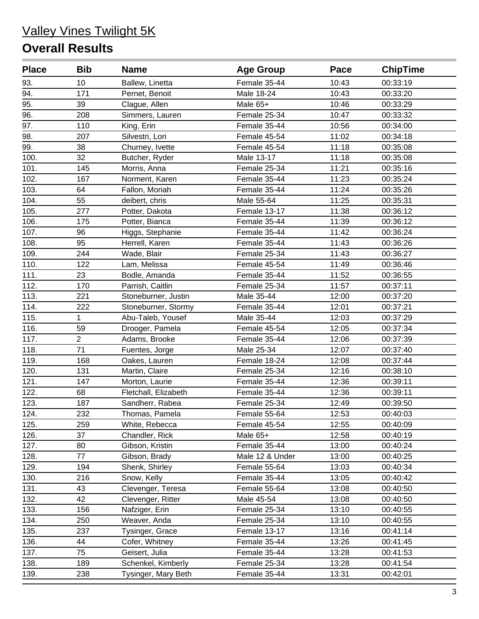| <b>Place</b> | <b>Bib</b>     | <b>Name</b>          | <b>Age Group</b> | Pace  | <b>ChipTime</b> |
|--------------|----------------|----------------------|------------------|-------|-----------------|
| 93.          | 10             | Ballew, Linetta      | Female 35-44     | 10:43 | 00:33:19        |
| 94.          | 171            | Pernet, Benoit       | Male 18-24       | 10:43 | 00:33:20        |
| 95.          | 39             | Clague, Allen        | Male 65+         | 10:46 | 00:33:29        |
| 96.          | 208            | Simmers, Lauren      | Female 25-34     | 10:47 | 00:33:32        |
| 97.          | 110            | King, Erin           | Female 35-44     | 10:56 | 00:34:00        |
| 98.          | 207            | Silvestri, Lori      | Female 45-54     | 11:02 | 00:34:18        |
| 99.          | 38             | Churney, Ivette      | Female 45-54     | 11:18 | 00:35:08        |
| 100.         | 32             | Butcher, Ryder       | Male 13-17       | 11:18 | 00:35:08        |
| 101.         | 145            | Morris, Anna         | Female 25-34     | 11:21 | 00:35:16        |
| 102.         | 167            | Norment, Karen       | Female 35-44     | 11:23 | 00:35:24        |
| 103.         | 64             | Fallon, Moriah       | Female 35-44     | 11:24 | 00:35:26        |
| 104.         | 55             | deibert, chris       | Male 55-64       | 11:25 | 00:35:31        |
| 105.         | 277            | Potter, Dakota       | Female 13-17     | 11:38 | 00:36:12        |
| 106.         | 175            | Potter, Bianca       | Female 35-44     | 11:39 | 00:36:12        |
| 107.         | 96             | Higgs, Stephanie     | Female 35-44     | 11:42 | 00:36:24        |
| 108.         | 95             | Herrell, Karen       | Female 35-44     | 11:43 | 00:36:26        |
| 109.         | 244            | Wade, Blair          | Female 25-34     | 11:43 | 00:36:27        |
| 110.         | 122            | Lam, Melissa         | Female 45-54     | 11:49 | 00:36:46        |
| 111.         | 23             | Bodle, Amanda        | Female 35-44     | 11:52 | 00:36:55        |
| 112.         | 170            | Parrish, Caitlin     | Female 25-34     | 11:57 | 00:37:11        |
| 113.         | 221            | Stoneburner, Justin  | Male 35-44       | 12:00 | 00:37:20        |
| 114.         | 222            | Stoneburner, Stormy  | Female 35-44     | 12:01 | 00:37:21        |
| 115.         | 1              | Abu-Taleb, Yousef    | Male 35-44       | 12:03 | 00:37:29        |
| 116.         | 59             | Drooger, Pamela      | Female 45-54     | 12:05 | 00:37:34        |
| 117.         | $\overline{2}$ | Adams, Brooke        | Female 35-44     | 12:06 | 00:37:39        |
| 118.         | 71             | Fuentes, Jorge       | Male 25-34       | 12:07 | 00:37:40        |
| 119.         | 168            | Oakes, Lauren        | Female 18-24     | 12:08 | 00:37:44        |
| 120.         | 131            | Martin, Claire       | Female 25-34     | 12:16 | 00:38:10        |
| 121.         | 147            | Morton, Laurie       | Female 35-44     | 12:36 | 00:39:11        |
| 122.         | 68             | Fletchall, Elizabeth | Female 35-44     | 12:36 | 00:39:11        |
| 123.         | 187            | Sandherr, Rabea      | Female 25-34     | 12:49 | 00:39:50        |
| 124.         | 232            | Thomas, Pamela       | Female 55-64     | 12:53 | 00:40:03        |
| 125.         | 259            | White, Rebecca       | Female 45-54     | 12:55 | 00:40:09        |
| 126.         | 37             | Chandler, Rick       | Male 65+         | 12:58 | 00:40:19        |
| 127.         | 80             | Gibson, Kristin      | Female 35-44     | 13:00 | 00:40:24        |
| 128.         | 77             | Gibson, Brady        | Male 12 & Under  | 13:00 | 00:40:25        |
| 129.         | 194            | Shenk, Shirley       | Female 55-64     | 13:03 | 00:40:34        |
| 130.         | 216            | Snow, Kelly          | Female 35-44     | 13:05 | 00:40:42        |
| 131.         | 43             | Clevenger, Teresa    | Female 55-64     | 13:08 | 00:40:50        |
| 132.         | 42             | Clevenger, Ritter    | Male 45-54       | 13:08 | 00:40:50        |
| 133.         | 156            | Nafziger, Erin       | Female 25-34     | 13:10 | 00:40:55        |
| 134.         | 250            | Weaver, Anda         | Female 25-34     | 13:10 | 00:40:55        |
| 135.         | 237            | Tysinger, Grace      | Female 13-17     | 13:16 | 00:41:14        |
| 136.         | 44             | Cofer, Whitney       | Female 35-44     | 13:26 | 00:41:45        |
| 137.         | 75             | Geisert, Julia       | Female 35-44     | 13:28 | 00:41:53        |
| 138.         | 189            | Schenkel, Kimberly   | Female 25-34     | 13:28 | 00:41:54        |
| 139.         | 238            | Tysinger, Mary Beth  | Female 35-44     | 13:31 | 00:42:01        |
|              |                |                      |                  |       |                 |